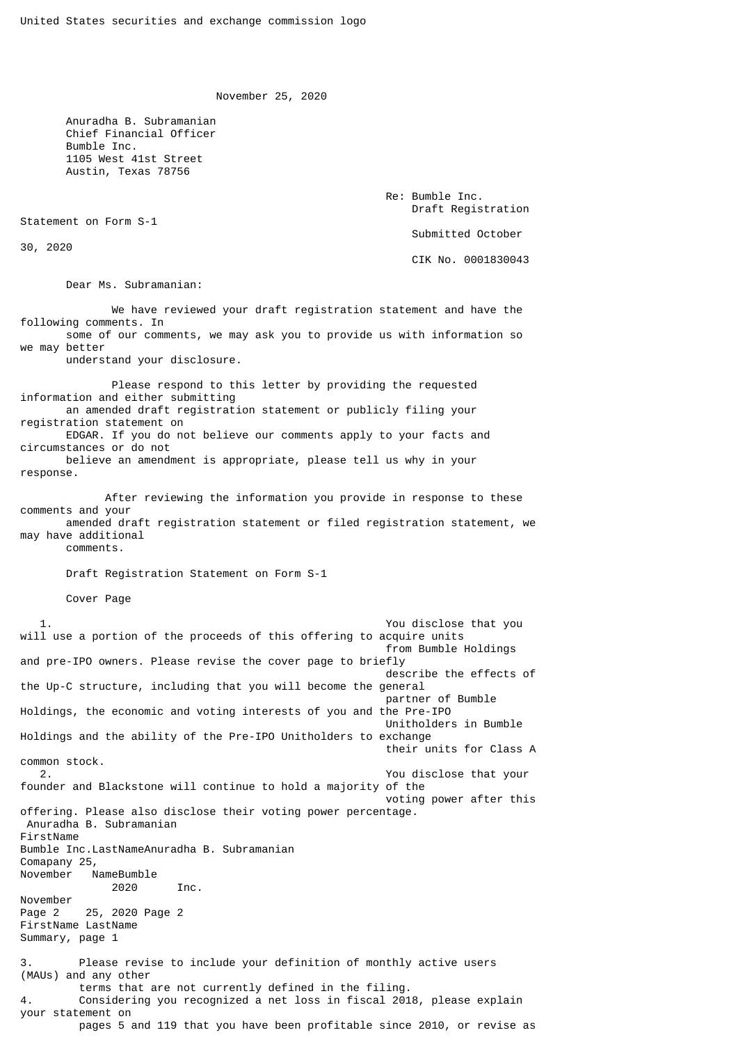November 25, 2020

 Anuradha B. Subramanian Chief Financial Officer Bumble Inc. 1105 West 41st Street Austin, Texas 78756

> Re: Bumble Inc. Draft Registration Submitted October CIK No. 0001830043

Dear Ms. Subramanian:

Statement on Form S-1

30, 2020

Summary, page 1

 We have reviewed your draft registration statement and have the following comments. In some of our comments, we may ask you to provide us with information so we may better understand your disclosure. Please respond to this letter by providing the requested information and either submitting an amended draft registration statement or publicly filing your registration statement on EDGAR. If you do not believe our comments apply to your facts and circumstances or do not believe an amendment is appropriate, please tell us why in your response. After reviewing the information you provide in response to these comments and your amended draft registration statement or filed registration statement, we may have additional comments. Draft Registration Statement on Form S-1 Cover Page 1. You disclose that you will use a portion of the proceeds of this offering to acquire units from Bumble Holdings and pre-IPO owners. Please revise the cover page to briefly describe the effects of the Up-C structure, including that you will become the general partner of Bumble Holdings, the economic and voting interests of you and the Pre-IPO Unitholders in Bumble Holdings and the ability of the Pre-IPO Unitholders to exchange their units for Class A common stock. 2. You disclose that your founder and Blackstone will continue to hold a majority of the voting power after this offering. Please also disclose their voting power percentage. Anuradha B. Subramanian FirstName Bumble Inc.LastNameAnuradha B. Subramanian Comapany 25, November NameBumble 2020 Inc. November Page 2 25, 2020 Page 2 FirstName LastName

3. Please revise to include your definition of monthly active users (MAUs) and any other terms that are not currently defined in the filing. 4. Considering you recognized a net loss in fiscal 2018, please explain your statement on pages 5 and 119 that you have been profitable since 2010, or revise as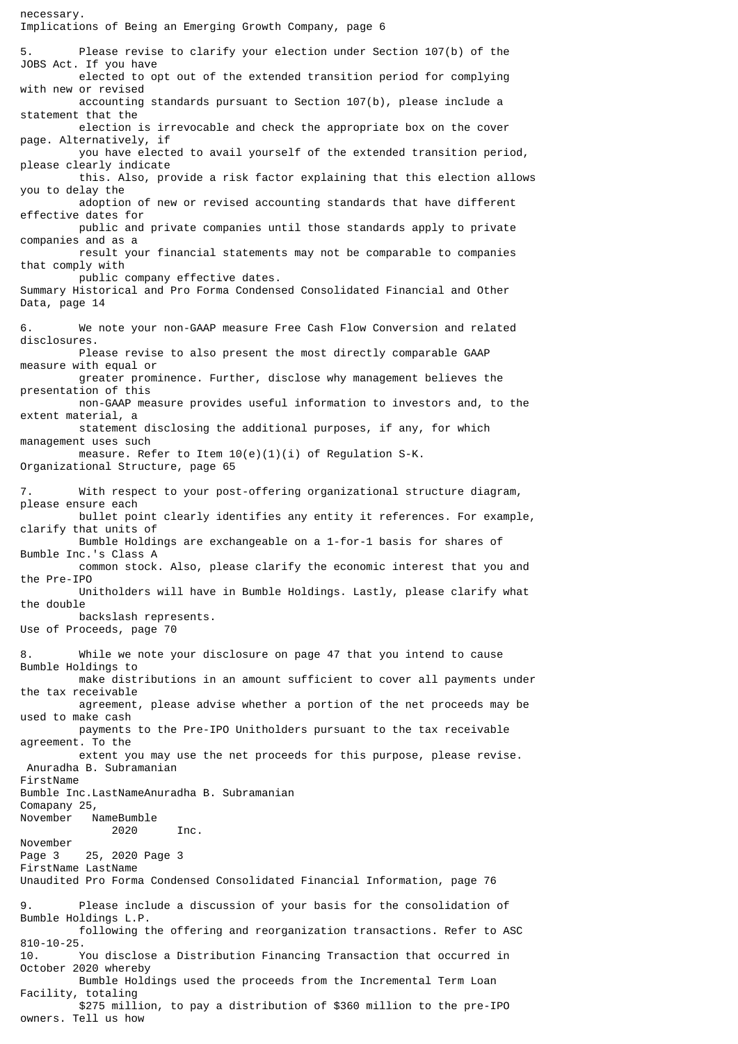Implications of Being an Emerging Growth Company, page 6 5. Please revise to clarify your election under Section 107(b) of the JOBS Act. If you have elected to opt out of the extended transition period for complying with new or revised accounting standards pursuant to Section 107(b), please include a statement that the election is irrevocable and check the appropriate box on the cover page. Alternatively, if you have elected to avail yourself of the extended transition period, please clearly indicate this. Also, provide a risk factor explaining that this election allows you to delay the adoption of new or revised accounting standards that have different effective dates for public and private companies until those standards apply to private companies and as a result your financial statements may not be comparable to companies that comply with public company effective dates. Summary Historical and Pro Forma Condensed Consolidated Financial and Other Data, page 14 6. We note your non-GAAP measure Free Cash Flow Conversion and related disclosures. Please revise to also present the most directly comparable GAAP measure with equal or greater prominence. Further, disclose why management believes the presentation of this non-GAAP measure provides useful information to investors and, to the extent material, a statement disclosing the additional purposes, if any, for which management uses such measure. Refer to Item 10(e)(1)(i) of Regulation S-K. Organizational Structure, page 65 7. With respect to your post-offering organizational structure diagram, please ensure each bullet point clearly identifies any entity it references. For example, clarify that units of Bumble Holdings are exchangeable on a 1-for-1 basis for shares of Bumble Inc.'s Class A common stock. Also, please clarify the economic interest that you and the Pre-IPO Unitholders will have in Bumble Holdings. Lastly, please clarify what the double backslash represents. Use of Proceeds, page 70 8. While we note your disclosure on page 47 that you intend to cause Bumble Holdings to make distributions in an amount sufficient to cover all payments under the tax receivable agreement, please advise whether a portion of the net proceeds may be used to make cash payments to the Pre-IPO Unitholders pursuant to the tax receivable agreement. To the extent you may use the net proceeds for this purpose, please revise. Anuradha B. Subramanian FirstName Bumble Inc.LastNameAnuradha B. Subramanian Comapany 25, November NameBumble 2020 Inc. November Page 3 25, 2020 Page 3 FirstName LastName Unaudited Pro Forma Condensed Consolidated Financial Information, page 76 9. Please include a discussion of your basis for the consolidation of Bumble Holdings L.P. following the offering and reorganization transactions. Refer to ASC 810-10-25. 10. You disclose a Distribution Financing Transaction that occurred in October 2020 whereby Bumble Holdings used the proceeds from the Incremental Term Loan Facility, totaling \$275 million, to pay a distribution of \$360 million to the pre-IPO

necessary.

owners. Tell us how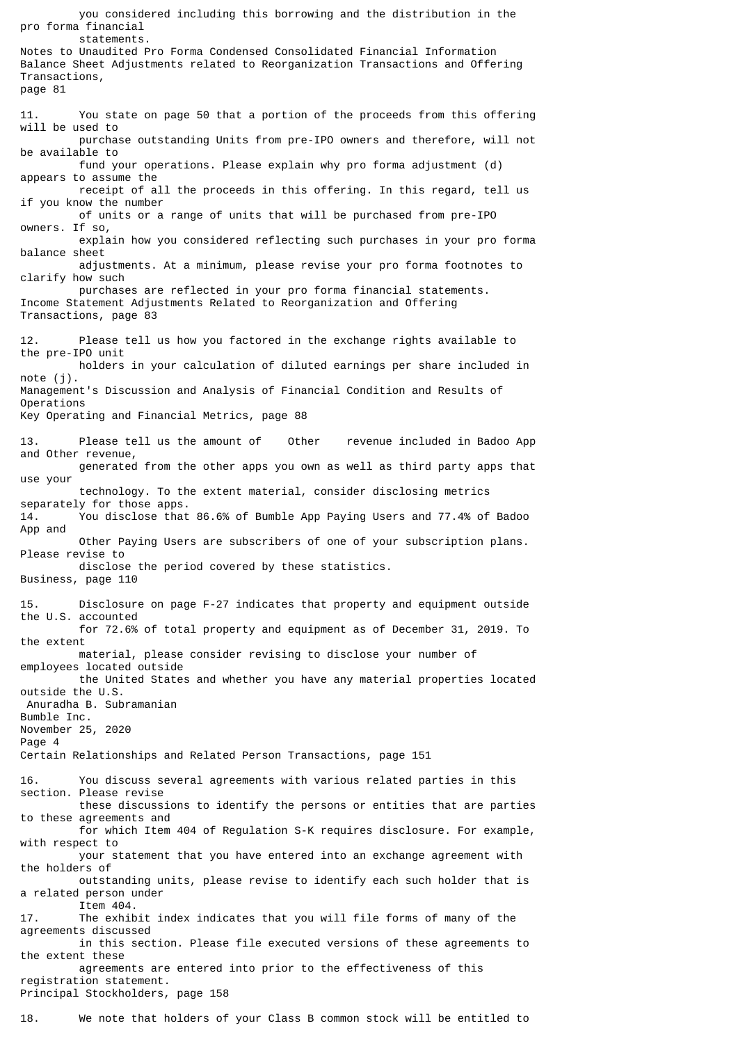you considered including this borrowing and the distribution in the pro forma financial statements. Notes to Unaudited Pro Forma Condensed Consolidated Financial Information Balance Sheet Adjustments related to Reorganization Transactions and Offering Transactions, page 81 11. You state on page 50 that a portion of the proceeds from this offering will be used to purchase outstanding Units from pre-IPO owners and therefore, will not be available to fund your operations. Please explain why pro forma adjustment (d) appears to assume the receipt of all the proceeds in this offering. In this regard, tell us if you know the number of units or a range of units that will be purchased from pre-IPO owners. If so, explain how you considered reflecting such purchases in your pro forma balance sheet adjustments. At a minimum, please revise your pro forma footnotes to clarify how such purchases are reflected in your pro forma financial statements. Income Statement Adjustments Related to Reorganization and Offering Transactions, page 83 12. Please tell us how you factored in the exchange rights available to the pre-IPO unit holders in your calculation of diluted earnings per share included in note (j). Management's Discussion and Analysis of Financial Condition and Results of Operations Key Operating and Financial Metrics, page 88 13. Please tell us the amount of Other revenue included in Badoo App and Other revenue, generated from the other apps you own as well as third party apps that use your technology. To the extent material, consider disclosing metrics separately for those apps. 14. You disclose that 86.6% of Bumble App Paying Users and 77.4% of Badoo App and Other Paying Users are subscribers of one of your subscription plans. Please revise to disclose the period covered by these statistics. Business, page 110 15. Disclosure on page F-27 indicates that property and equipment outside the U.S. accounted for 72.6% of total property and equipment as of December 31, 2019. To the extent material, please consider revising to disclose your number of employees located outside the United States and whether you have any material properties located outside the U.S. Anuradha B. Subramanian Bumble Inc. November 25, 2020 Page 4 Certain Relationships and Related Person Transactions, page 151 16. You discuss several agreements with various related parties in this section. Please revise these discussions to identify the persons or entities that are parties to these agreements and for which Item 404 of Regulation S-K requires disclosure. For example, with respect to your statement that you have entered into an exchange agreement with the holders of outstanding units, please revise to identify each such holder that is a related person under Item 404. 17. The exhibit index indicates that you will file forms of many of the agreements discussed in this section. Please file executed versions of these agreements to the extent these agreements are entered into prior to the effectiveness of this registration statement. Principal Stockholders, page 158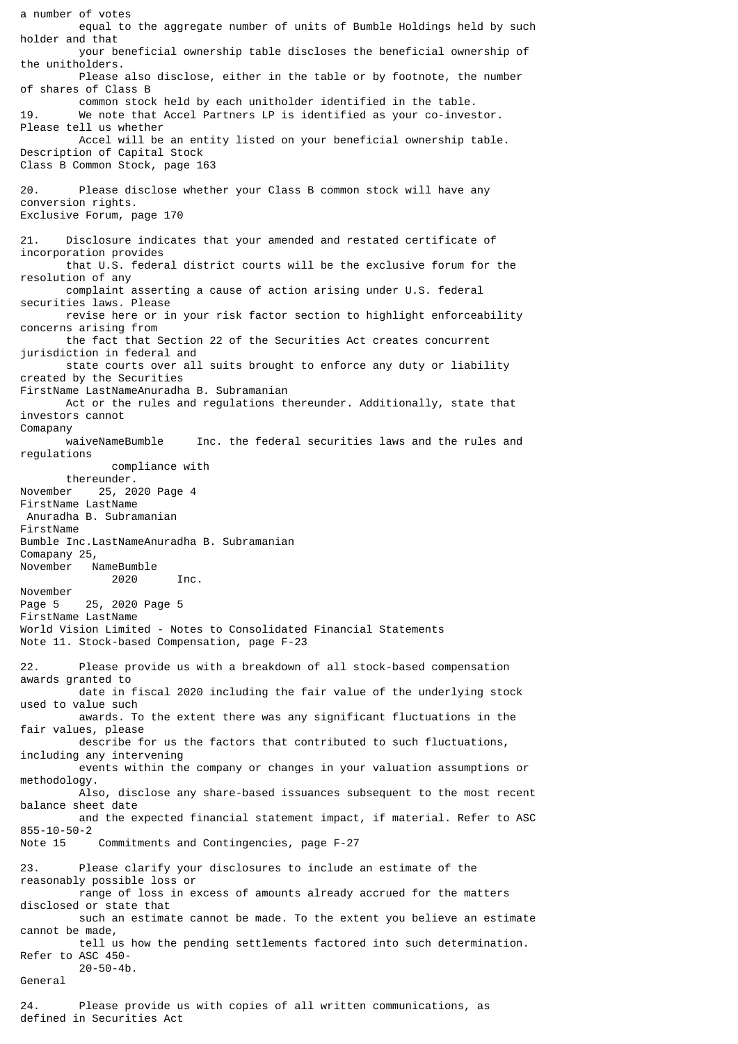a number of votes equal to the aggregate number of units of Bumble Holdings held by such holder and that your beneficial ownership table discloses the beneficial ownership of the unitholders. Please also disclose, either in the table or by footnote, the number of shares of Class B common stock held by each unitholder identified in the table. 19. We note that Accel Partners LP is identified as your co-investor. Please tell us whether Accel will be an entity listed on your beneficial ownership table. Description of Capital Stock Class B Common Stock, page 163 20. Please disclose whether your Class B common stock will have any conversion rights. Exclusive Forum, page 170 21. Disclosure indicates that your amended and restated certificate of incorporation provides that U.S. federal district courts will be the exclusive forum for the resolution of any complaint asserting a cause of action arising under U.S. federal securities laws. Please revise here or in your risk factor section to highlight enforceability concerns arising from the fact that Section 22 of the Securities Act creates concurrent jurisdiction in federal and state courts over all suits brought to enforce any duty or liability created by the Securities FirstName LastNameAnuradha B. Subramanian Act or the rules and regulations thereunder. Additionally, state that investors cannot Comapany<br>waiveNameBumble Inc. the federal securities laws and the rules and regulations compliance with thereunder. November 25, 2020 Page 4 FirstName LastName Anuradha B. Subramanian FirstName Bumble Inc.LastNameAnuradha B. Subramanian Comapany 25,<br>November N NameBumble 2020 Inc. November Page 5 25, 2020 Page 5 FirstName LastName World Vision Limited - Notes to Consolidated Financial Statements Note 11. Stock-based Compensation, page F-23 22. Please provide us with a breakdown of all stock-based compensation awards granted to date in fiscal 2020 including the fair value of the underlying stock used to value such awards. To the extent there was any significant fluctuations in the fair values, please describe for us the factors that contributed to such fluctuations, including any intervening events within the company or changes in your valuation assumptions or methodology. Also, disclose any share-based issuances subsequent to the most recent balance sheet date and the expected financial statement impact, if material. Refer to ASC 855-10-50-2 Note 15 Commitments and Contingencies, page F-27 23. Please clarify your disclosures to include an estimate of the reasonably possible loss or range of loss in excess of amounts already accrued for the matters disclosed or state that such an estimate cannot be made. To the extent you believe an estimate cannot be made, tell us how the pending settlements factored into such determination. Refer to ASC 450- 20-50-4b. General 24. Please provide us with copies of all written communications, as defined in Securities Act